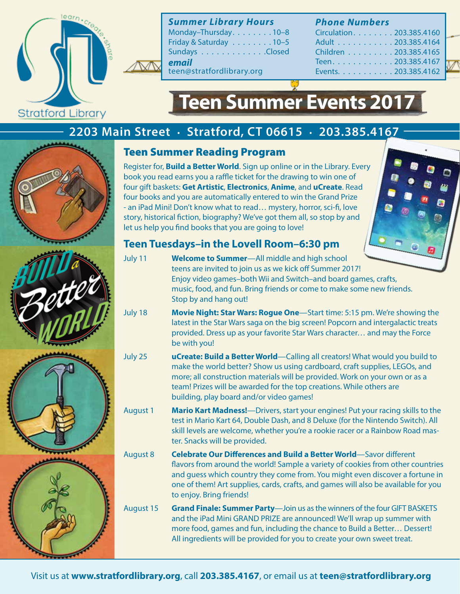

*Summer Library Hours*

Monday–Thursday. . . . . . . . 10–8 Friday & Saturday  $\dots \dots \dots 10-5$ Sundays . . . . . . . . . . . . . Closed *email*

teen@stratfordlibrary.org

#### *Phone Numbers*

| Circulation. 203.385.4160 |
|---------------------------|
| Adult 203.385.4164        |
| Children 203.385.4165     |
| Teen. 203.385.4167        |
| Events. 203.385.4162      |



# **Teen Summer Events 2017**

## **2203 Main Street . Stratford, CT 06615 . 203.385.4167**



#### Teen Summer Reading Program

Register for, **Build a Better World**. Sign up online or in the Library. Every book you read earns you a raffle ticket for the drawing to win one of four gift baskets: **Get Artistic**, **Electronics**, **Anime**, and **uCreate**. Read four books and you are automatically entered to win the Grand Prize - an iPad Mini! Don't know what to read… mystery, horror, sci-fi, love story, historical fiction, biography? We've got them all, so stop by and let us help you find books that you are going to love!



### **Teen Tuesdays–in the Lovell Room–6:30 pm**

- July 11 **Welcome to Summer**—All middle and high school teens are invited to join us as we kick off Summer 2017! Enjoy video games–both Wii and Switch–and board games, crafts, music, food, and fun. Bring friends or come to make some new friends. Stop by and hang out!
- July 18 **Movie Night: Star Wars: Rogue One**—Start time: 5:15 pm. We're showing the latest in the Star Wars saga on the big screen! Popcorn and intergalactic treats provided. Dress up as your favorite Star Wars character… and may the Force be with you!
- July 25 **uCreate: Build a Better World**—Calling all creators! What would you build to make the world better? Show us using cardboard, craft supplies, LEGOs, and more; all construction materials will be provided. Work on your own or as a team! Prizes will be awarded for the top creations. While others are building, play board and/or video games!
- August 1 **Mario Kart Madness!**—Drivers, start your engines! Put your racing skills to the test in Mario Kart 64, Double Dash, and 8 Deluxe (for the Nintendo Switch). All skill levels are welcome, whether you're a rookie racer or a Rainbow Road master. Snacks will be provided.

August 8 **Celebrate Our Differences and Build a Better World**—Savor different flavors from around the world! Sample a variety of cookies from other countries and guess which country they come from. You might even discover a fortune in one of them! Art supplies, cards, crafts, and games will also be available for you to enjoy. Bring friends!

August 15 **Grand Finale: Summer Party**—Join us as the winners of the four GIFT BASKETS and the iPad Mini GRAND PRIZE are announced! We'll wrap up summer with more food, games and fun, including the chance to Build a Better… Dessert! All ingredients will be provided for you to create your own sweet treat.